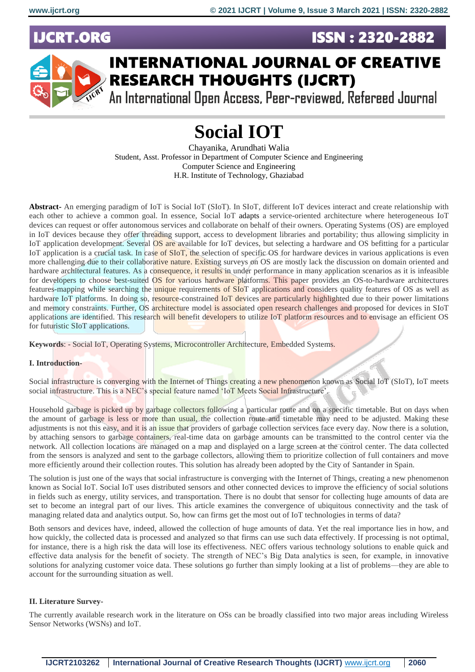**JCRT.ORG** 





## **INTERNATIONAL JOURNAL OF CREATIVE RESEARCH THOUGHTS (IJCRT)**

An International Open Access, Peer-reviewed, Refereed Journal

# **Social IOT**

Chayanika, Arundhati Walia Student, Asst. Professor in Department of Computer Science and Engineering Computer Science and Engineering H.R. Institute of Technology, Ghaziabad

**Abstract-** An emerging paradigm of IoT is Social IoT (SIoT). In SIoT, different IoT devices interact and create relationship with each other to achieve a common goal. In essence, Social IoT adapts a service-oriented architecture where heterogeneous IoT devices can request or offer autonomous services and collaborate on behalf of their owners. Operating Systems (OS) are employed in IoT devices because they offer threading support, access to development libraries and portability; thus allowing simplicity in IoT application development. Several OS are available for IoT devices, but selecting a hardware and OS befitting for a particular IoT application is a crucial task. In case of SIoT, the selection of specific OS for hardware devices in various applications is even more challenging due to their collaborative nature. Existing surveys on OS are mostly lack the discussion on domain oriented and hardware architectural features. As a consequence, it results in under performance in many application scenarios as it is infeasible for developers to choose best-suited OS for various hardware platforms. This paper provides an OS-to-hardware architectures features-mapping while searching the unique requirements of SIoT applications and considers quality features of OS as well as hardware IoT platforms. In doing so, resource-constrained IoT devices are particularly highlighted due to their power limitations and memory constraints. Further, OS architecture model is associated open research challenges and proposed for devices in SIoT applications are identified. This research will benefit developers to utilize IoT platform resources and to envisage an efficient OS for futuristic SIoT applications.

**Keywords**: - Social IoT, Operating Systems, Microcontroller Architecture, Embedded Systems.

## **I. Introduction-**

Social infrastructure is converging with the Internet of Things creating a new phenomenon known as Social IoT (SIoT), IoT meets social infrastructure. This is a NEC's special feature named 'IoT Meets Social Infrastructure'.

Household garbage is picked up by garbage collectors following a particular route and on a specific timetable. But on days when the amount of garbage is less or more than usual, the collection route and timetable may need to be adjusted. Making these adjustments is not this easy, and it is an issue that providers of garbage collection services face every day. Now there is a solution, by attaching sensors to garbage containers, real-time data on garbage amounts can be transmitted to the control center via the network. All collection locations are managed on a map and displayed on a large screen at the control center. The data collected from the sensors is analyzed and sent to the garbage collectors, allowing them to prioritize collection of full containers and move more efficiently around their collection routes. This solution has already been adopted by the City of Santander in Spain.

The solution is just one of the ways that social infrastructure is converging with the Internet of Things, creating a new phenomenon known as Social IoT. Social IoT uses distributed sensors and other connected devices to improve the efficiency of social solutions in fields such as energy, utility services, and transportation. There is no doubt that sensor for collecting huge amounts of data are set to become an integral part of our lives. This article examines the convergence of ubiquitous connectivity and the task of managing related data and analytics output. So, how can firms get the most out of IoT technologies in terms of data?

Both sensors and devices have, indeed, allowed the collection of huge amounts of data. Yet the real importance lies in how, and how quickly, the collected data is processed and analyzed so that firms can use such data effectively. If processing is not optimal, for instance, there is a high risk the data will lose its effectiveness. NEC offers various technology solutions to enable quick and effective data analysis for the benefit of society. The strength of NEC's Big Data analytics is seen, for example, in innovative solutions for analyzing customer voice data. These solutions go further than simply looking at a list of problems—they are able to account for the surrounding situation as well.

## **II. Literature Survey-**

The currently available research work in the literature on OSs can be broadly classified into two major areas including Wireless Sensor Networks (WSNs) and IoT.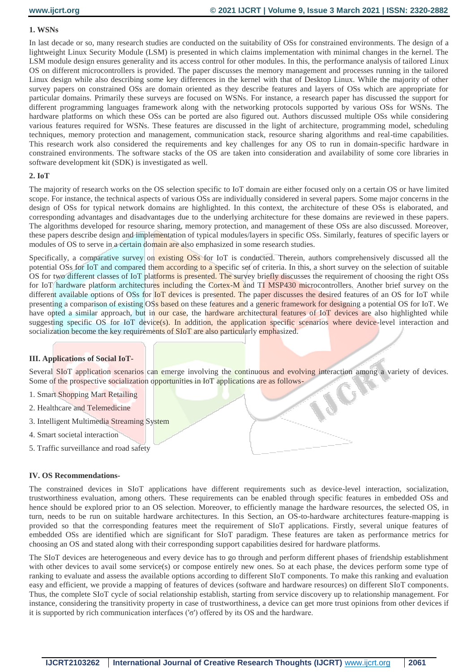## **1. WSNs**

In last decade or so, many research studies are conducted on the suitability of OSs for constrained environments. The design of a lightweight Linux Security Module (LSM) is presented in which claims implementation with minimal changes in the kernel. The LSM module design ensures generality and its access control for other modules. In this, the performance analysis of tailored Linux OS on different microcontrollers is provided. The paper discusses the memory management and processes running in the tailored Linux design while also describing some key differences in the kernel with that of Desktop Linux. While the majority of other survey papers on constrained OSs are domain oriented as they describe features and layers of OSs which are appropriate for particular domains. Primarily these surveys are focused on WSNs. For instance, a research paper has discussed the support for different programming languages framework along with the networking protocols supported by various OSs for WSNs. The hardware platforms on which these OSs can be ported are also figured out. Authors discussed multiple OSs while considering various features required for WSNs. These features are discussed in the light of architecture, programming model, scheduling techniques, memory protection and management, communication stack, resource sharing algorithms and real-time capabilities. This research work also considered the requirements and key challenges for any OS to run in domain-specific hardware in constrained environments. The software stacks of the OS are taken into consideration and availability of some core libraries in software development kit (SDK) is investigated as well.

## **2. IoT**

The majority of research works on the OS selection specific to IoT domain are either focused only on a certain OS or have limited scope. For instance, the technical aspects of various OSs are individually considered in several papers. Some major concerns in the design of OSs for typical network domains are highlighted. In this context, the architecture of these OSs is elaborated, and corresponding advantages and disadvantages due to the underlying architecture for these domains are reviewed in these papers. The algorithms developed for resource sharing, memory protection, and management of these OSs are also discussed. Moreover, these papers describe design and implementation of typical modules/layers in specific OSs. Similarly, features of specific layers or modules of OS to serve in a certain domain are also emphasized in some research studies.

Specifically, a comparative survey on existing OSs for IoT is conducted. Therein, authors comprehensively discussed all the potential OSs for IoT and compared them according to a specific set of criteria. In this, a short survey on the selection of suitable OS for two different classes of IoT platforms is presented. The survey briefly discusses the requirement of choosing the right OSs for IoT hardware platform architectures including the Cortex-M and TI MSP430 microcontrollers. Another brief survey on the different available options of OSs for IoT devices is presented. The paper discusses the desired features of an OS for IoT while presenting a comparison of existing OSs based on these features and a generic framework for designing a potential OS for IoT. We have opted a similar approach, but in our case, the hardware architectural features of IoT devices are also highlighted while suggesting specific OS for IoT device(s). In addition, the application specific scenarios where device-level interaction and socialization become the key requirements of SIoT are also particularly emphasized.

#### **III. Applications of Social IoT-**

Several SIoT application scenarios can emerge involving the continuous and evolving interaction among a variety of devices. Some of the prospective socialization opportunities in IoT applications are as follows-

- 1. Smart Shopping Mart Retailing
- 2. Healthcare and Telemedicine
- 3. Intelligent Multimedia Streaming System
- 4. Smart societal interaction
- 5. Traffic surveillance and road safety

## **IV. OS Recommendations-**

The constrained devices in SIoT applications have different requirements such as device-level interaction, socialization, trustworthiness evaluation, among others. These requirements can be enabled through specific features in embedded OSs and hence should be explored prior to an OS selection. Moreover, to efficiently manage the hardware resources, the selected OS, in turn, needs to be run on suitable hardware architectures. In this Section, an OS-to-hardware architectures feature-mapping is provided so that the corresponding features meet the requirement of SIoT applications. Firstly, several unique features of embedded OSs are identified which are significant for SIoT paradigm. These features are taken as performance metrics for choosing an OS and stated along with their corresponding support capabilities desired for hardware platforms.

The SIoT devices are heterogeneous and every device has to go through and perform different phases of friendship establishment with other devices to avail some service(s) or compose entirely new ones. So at each phase, the devices perform some type of ranking to evaluate and assess the available options according to different SIoT components. To make this ranking and evaluation easy and efficient, we provide a mapping of features of devices (software and hardware resources) on different SIoT components. Thus, the complete SIoT cycle of social relationship establish, starting from service discovery up to relationship management. For instance, considering the transitivity property in case of trustworthiness, a device can get more trust opinions from other devices if it is supported by rich communication interfaces ('σ') offered by its OS and the hardware.